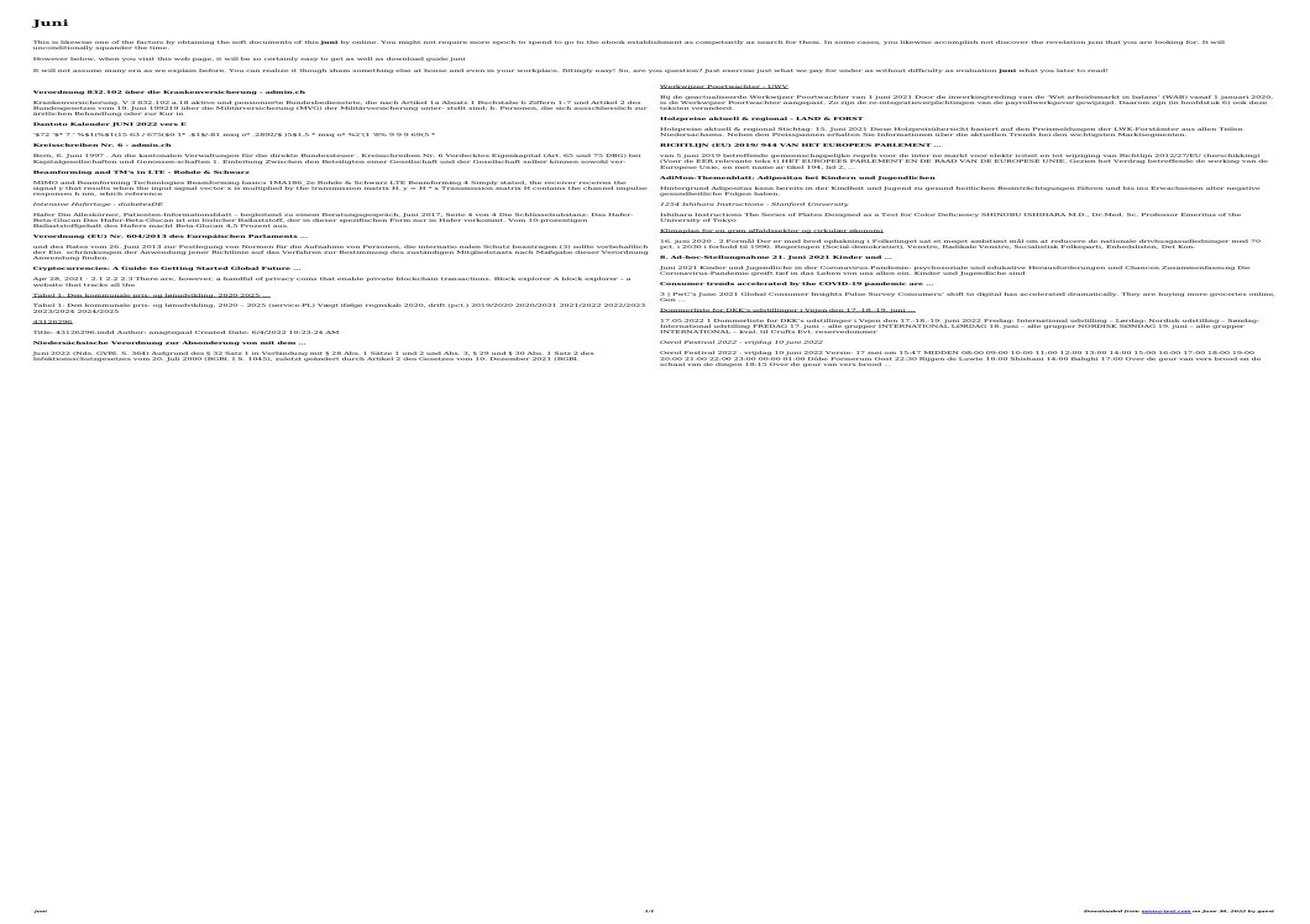## **Juni**

Right here, we have countless book **juni** and collections to check out. We additionally present variant types and as well as type of the books to browse. The agreeable book, fiction, history, novel, scientific research, as competently as various other sorts of books are readily nearby here.

As this juni, it ends stirring instinctive one of the favored ebook juni collections that we have. This is why you remain in the best website to look the unbelievable ebook to have.

**Cryptocurrencies: A Guide to Getting Started Global Future …**

*Downloaded from [mensa-test.com](https://mensa-test.com) on June 28, 2022 by guest* Apr 28, 2021 · 2.1 2.2 2.3 There are, however, a handful of privacy coins that enable private blockchain transactions. Block explorer A block explorer – a website that tracks all the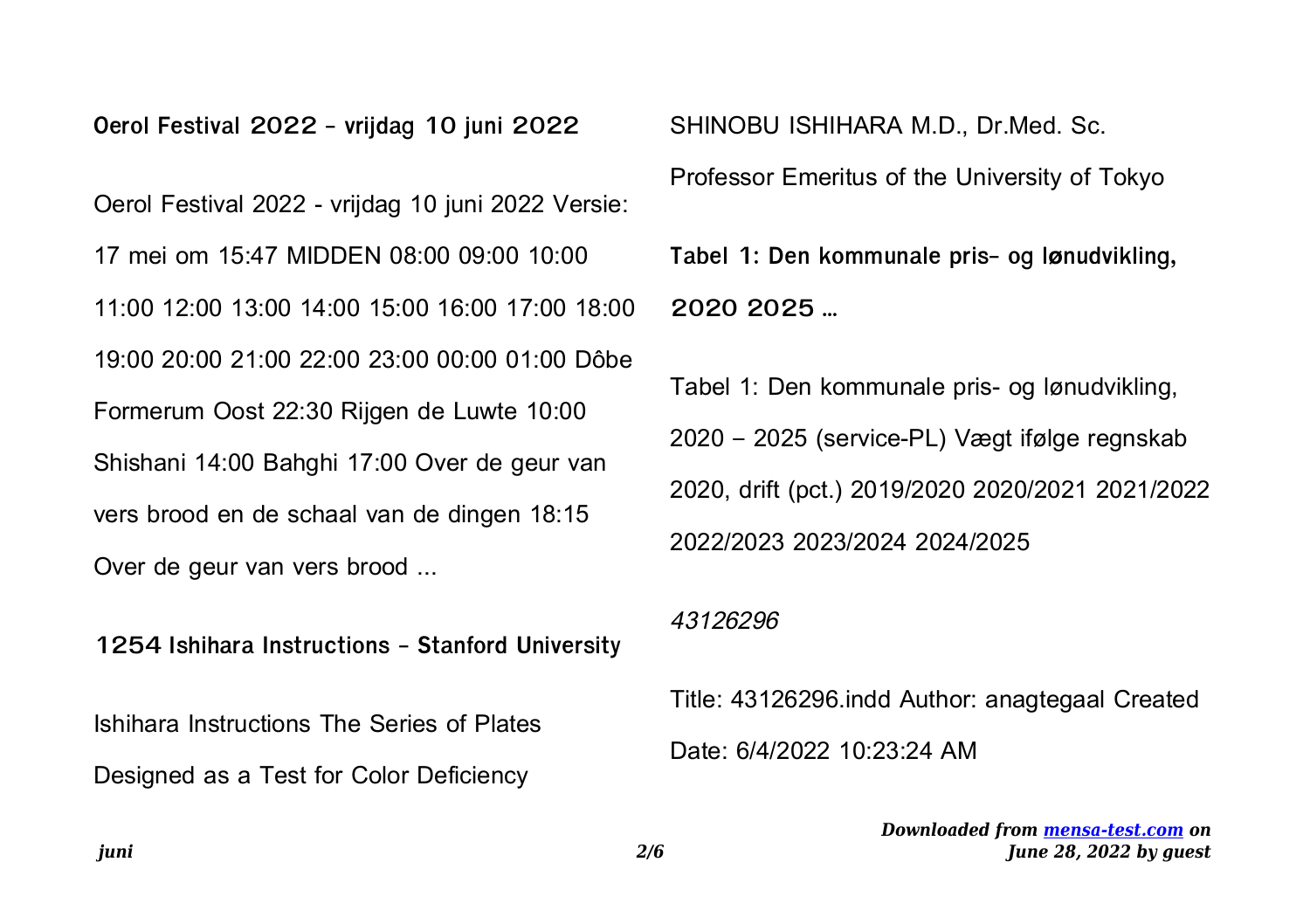**Oerol Festival 2022 - vrijdag 10 juni 2022**

Oerol Festival 2022 - vrijdag 10 juni 2022 Versie: 17 mei om 15:47 MIDDEN 08:00 09:00 10:00 11:00 12:00 13:00 14:00 15:00 16:00 17:00 18:00 19:00 20:00 21:00 22:00 23:00 00:00 01:00 Dôbe Formerum Oost 22:30 Rijgen de Luwte 10:00 Shishani 14:00 Bahghi 17:00 Over de geur van vers brood en de schaal van de dingen 18:15 Over de geur van vers brood ...

**1254 Ishihara Instructions - Stanford University**

Ishihara Instructions The Series of Plates Designed as a Test for Color Deficiency

SHINOBU ISHIHARA M.D., Dr.Med. Sc. Professor Emeritus of the University of Tokyo

**Tabel 1: Den kommunale pris- og lønudvikling, 2020 2025 …**

Tabel 1: Den kommunale pris- og lønudvikling, 2020 – 2025 (service-PL) Vægt ifølge regnskab 2020, drift (pct.) 2019/2020 2020/2021 2021/2022 2022/2023 2023/2024 2024/2025

## 43126296

Title: 43126296.indd Author: anagtegaal Created Date: 6/4/2022 10:23:24 AM

> *Downloaded from [mensa-test.com](https://mensa-test.com) on June 28, 2022 by guest*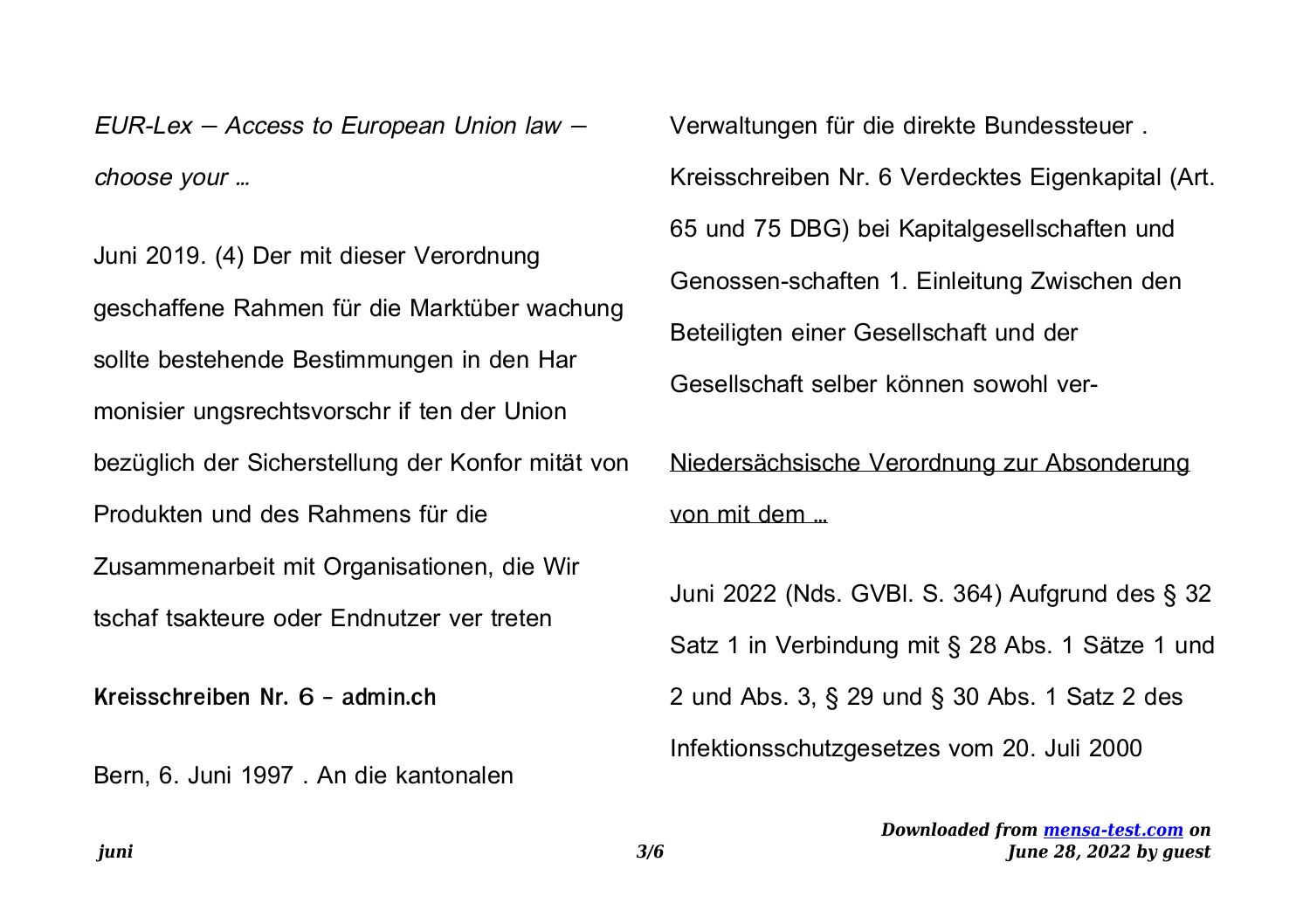EUR-Lex — Access to European Union law choose your …

Juni 2019. (4) Der mit dieser Verordnung geschaffene Rahmen für die Marktüber wachung sollte bestehende Bestimmungen in den Har monisier ungsrechtsvorschr if ten der Union bezüglich der Sicherstellung der Konfor mität von Produkten und des Rahmens für die Zusammenarbeit mit Organisationen, die Wir tschaf tsakteure oder Endnutzer ver treten

**Kreisschreiben Nr. 6 - admin.ch**

Bern, 6. Juni 1997 . An die kantonalen

Verwaltungen für die direkte Bundessteuer . Kreisschreiben Nr. 6 Verdecktes Eigenkapital (Art. 65 und 75 DBG) bei Kapitalgesellschaften und Genossen-schaften 1. Einleitung Zwischen den Beteiligten einer Gesellschaft und der Gesellschaft selber können sowohl ver-

Niedersächsische Verordnung zur Absonderung von mit dem …

Juni 2022 (Nds. GVBl. S. 364) Aufgrund des § 32 Satz 1 in Verbindung mit § 28 Abs. 1 Sätze 1 und 2 und Abs. 3, § 29 und § 30 Abs. 1 Satz 2 des Infektionsschutzgesetzes vom 20. Juli 2000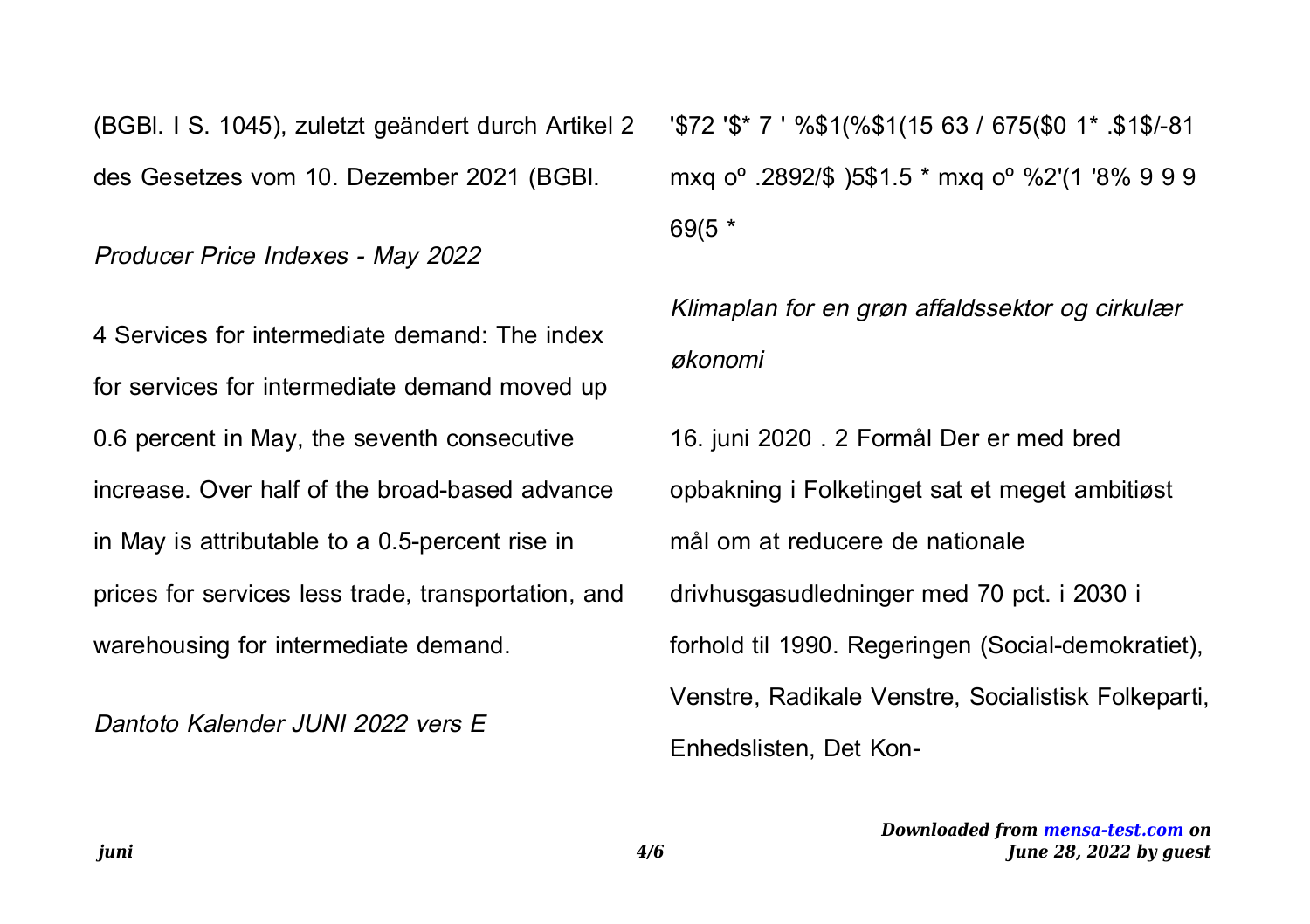(BGBl. I S. 1045), zuletzt geändert durch Artikel 2 des Gesetzes vom 10. Dezember 2021 (BGBl.

Producer Price Indexes - May 2022

4 Services for intermediate demand: The index for services for intermediate demand moved up 0.6 percent in May, the seventh consecutive increase. Over half of the broad-based advance in May is attributable to a 0.5-percent rise in prices for services less trade, transportation, and warehousing for intermediate demand.

Dantoto Kalender JUNI 2022 vers E

'\$72 '\$\* 7 ' %\$1(%\$1(15 63 / 675(\$0 1\* .\$1\$/-81 mxq oº .2892/\$ )5\$1.5 \* mxq oº %2'(1 '8% 9 9 9 69(5 \*

Klimaplan for en grøn affaldssektor og cirkulær økonomi

16. juni 2020 . 2 Formål Der er med bred opbakning i Folketinget sat et meget ambitiøst mål om at reducere de nationale drivhusgasudledninger med 70 pct. i 2030 i forhold til 1990. Regeringen (Social-demokratiet), Venstre, Radikale Venstre, Socialistisk Folkeparti, Enhedslisten, Det Kon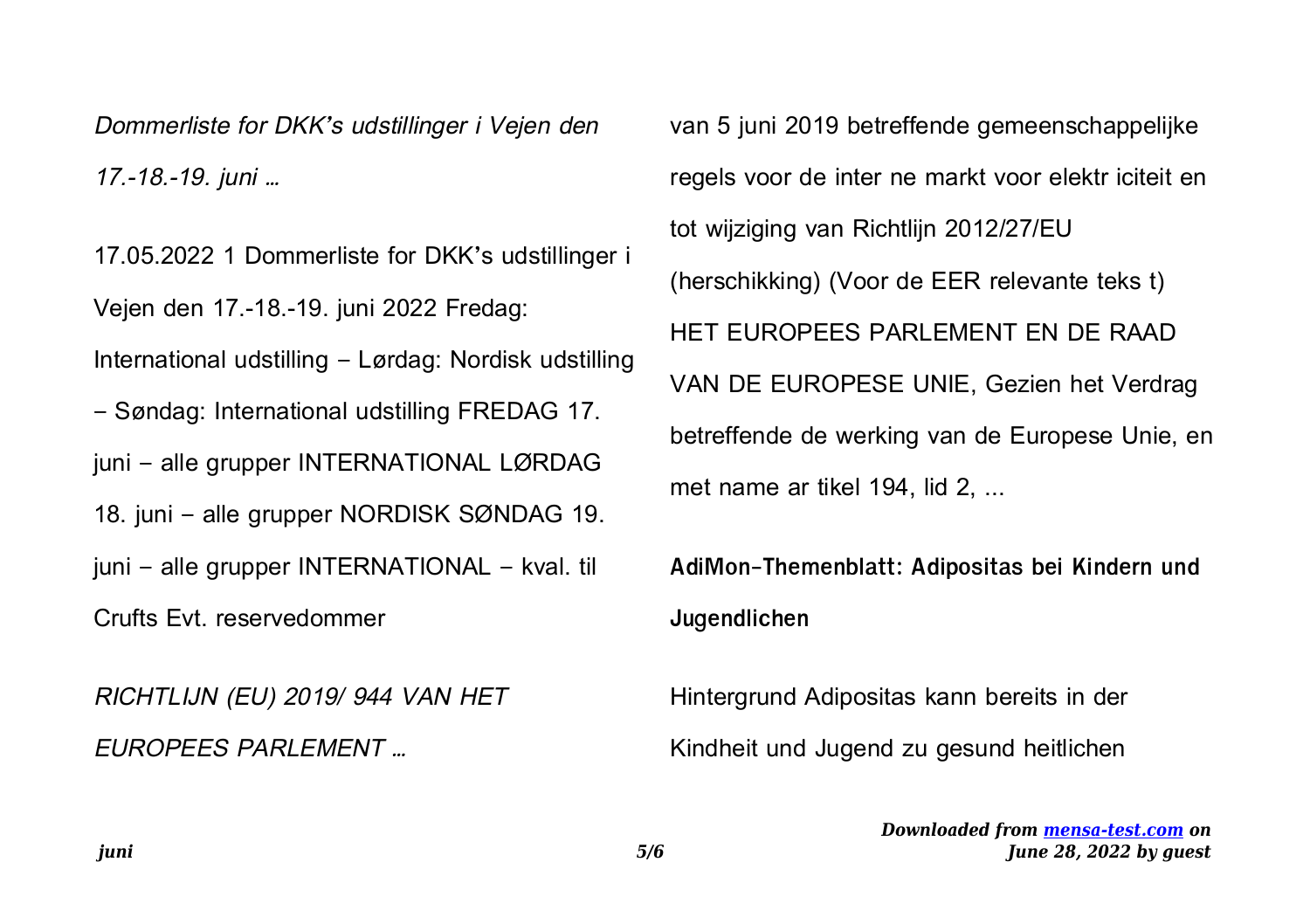Dommerliste for DKK's udstillinger i Vejen den 17.-18.-19. juni …

17.05.2022 1 Dommerliste for DKK's udstillinger i Vejen den 17.-18.-19. juni 2022 Fredag: International udstilling – Lørdag: Nordisk udstilling – Søndag: International udstilling FREDAG 17. juni – alle grupper INTERNATIONAL LØRDAG 18. juni – alle grupper NORDISK SØNDAG 19. juni – alle grupper INTERNATIONAL – kval. til Crufts Evt. reservedommer

RICHTLIJN (EU) 2019/ 944 VAN HET EUROPEES PARLEMENT …

van 5 juni 2019 betreffende gemeenschappelijke regels voor de inter ne markt voor elektr iciteit en tot wijziging van Richtlijn 2012/27/EU (herschikking) (Voor de EER relevante teks t) HET EUROPEES PARLEMENT EN DE RAAD VAN DE EUROPESE UNIE, Gezien het Verdrag betreffende de werking van de Europese Unie, en met name ar tikel 194, lid 2, ...

**AdiMon-Themenblatt: Adipositas bei Kindern und Jugendlichen**

Hintergrund Adipositas kann bereits in der Kindheit und Jugend zu gesund heitlichen

> *Downloaded from [mensa-test.com](https://mensa-test.com) on June 28, 2022 by guest*